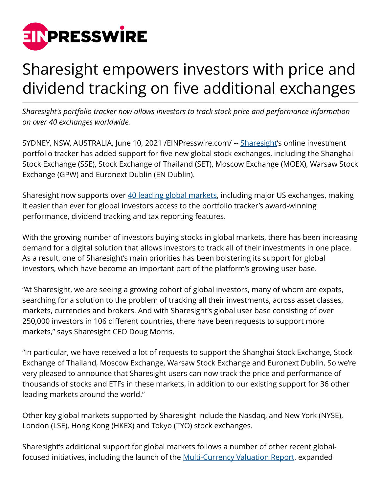

## Sharesight empowers investors with price and dividend tracking on five additional exchanges

*Sharesight's portfolio tracker now allows investors to track stock price and performance information on over 40 exchanges worldwide.*

SYDNEY, NSW, AUSTRALIA, June 10, 2021 [/EINPresswire.com](http://www.einpresswire.com)/ -- [Sharesight](https://sharesight.com)'s online investment portfolio tracker has added support for five new global stock exchanges, including the Shanghai Stock Exchange (SSE), Stock Exchange of Thailand (SET), Moscow Exchange (MOEX), Warsaw Stock Exchange (GPW) and Euronext Dublin (EN Dublin).

Sharesight now supports over [40 leading global markets,](https://www.sharesight.com/faq/#which-stock-exchanges-does-sharesight-support) including major US exchanges, making it easier than ever for global investors access to the portfolio tracker's award-winning performance, dividend tracking and tax reporting features.

With the growing number of investors buying stocks in global markets, there has been increasing demand for a digital solution that allows investors to track all of their investments in one place. As a result, one of Sharesight's main priorities has been bolstering its support for global investors, which have become an important part of the platform's growing user base.

"At Sharesight, we are seeing a growing cohort of global investors, many of whom are expats, searching for a solution to the problem of tracking all their investments, across asset classes, markets, currencies and brokers. And with Sharesight's global user base consisting of over 250,000 investors in 106 different countries, there have been requests to support more markets," says Sharesight CEO Doug Morris.

"In particular, we have received a lot of requests to support the Shanghai Stock Exchange, Stock Exchange of Thailand, Moscow Exchange, Warsaw Stock Exchange and Euronext Dublin. So we're very pleased to announce that Sharesight users can now track the price and performance of thousands of stocks and ETFs in these markets, in addition to our existing support for 36 other leading markets around the world."

Other key global markets supported by Sharesight include the Nasdaq, and New York (NYSE), London (LSE), Hong Kong (HKEX) and Tokyo (TYO) stock exchanges.

Sharesight's additional support for global markets follows a number of other recent globalfocused initiatives, including the launch of the [Multi-Currency Valuation Report](https://www.sharesight.com/blog/value-your-investments-in-any-currency-with-sharesight/), expanded